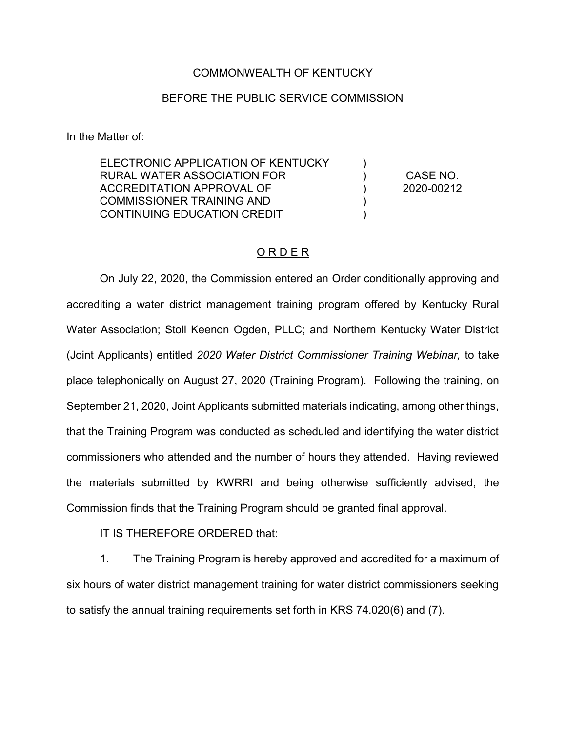## COMMONWEALTH OF KENTUCKY

## BEFORE THE PUBLIC SERVICE COMMISSION

In the Matter of:

ELECTRONIC APPLICATION OF KENTUCKY RURAL WATER ASSOCIATION FOR ACCREDITATION APPROVAL OF COMMISSIONER TRAINING AND CONTINUING EDUCATION CREDIT  $\lambda$ ) ) ) ) CASE NO. 2020-00212

## O R D E R

On July 22, 2020, the Commission entered an Order conditionally approving and accrediting a water district management training program offered by Kentucky Rural Water Association; Stoll Keenon Ogden, PLLC; and Northern Kentucky Water District (Joint Applicants) entitled *2020 Water District Commissioner Training Webinar,* to take place telephonically on August 27, 2020 (Training Program). Following the training, on September 21, 2020, Joint Applicants submitted materials indicating, among other things, that the Training Program was conducted as scheduled and identifying the water district commissioners who attended and the number of hours they attended. Having reviewed the materials submitted by KWRRI and being otherwise sufficiently advised, the Commission finds that the Training Program should be granted final approval.

IT IS THEREFORE ORDERED that:

1. The Training Program is hereby approved and accredited for a maximum of six hours of water district management training for water district commissioners seeking to satisfy the annual training requirements set forth in KRS 74.020(6) and (7).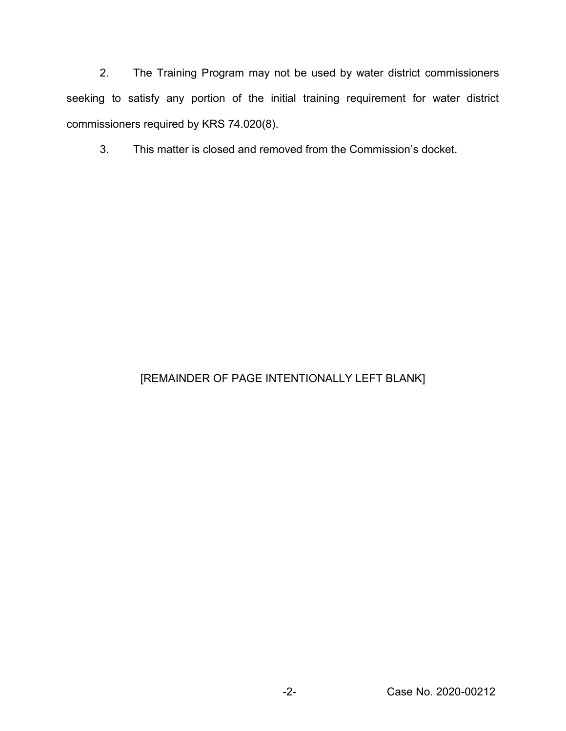2. The Training Program may not be used by water district commissioners seeking to satisfy any portion of the initial training requirement for water district commissioners required by KRS 74.020(8).

3. This matter is closed and removed from the Commission's docket.

## [REMAINDER OF PAGE INTENTIONALLY LEFT BLANK]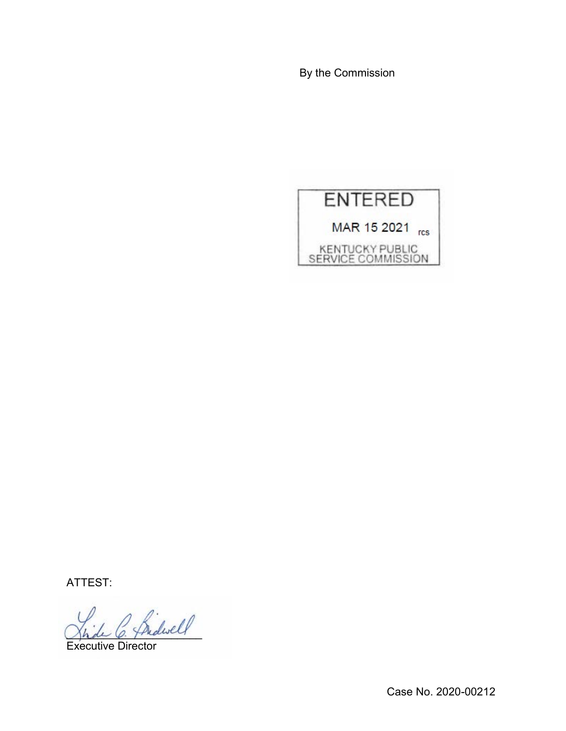By the Commission



ATTEST:

Indivel

Executive Director

Case No. 2020-00212